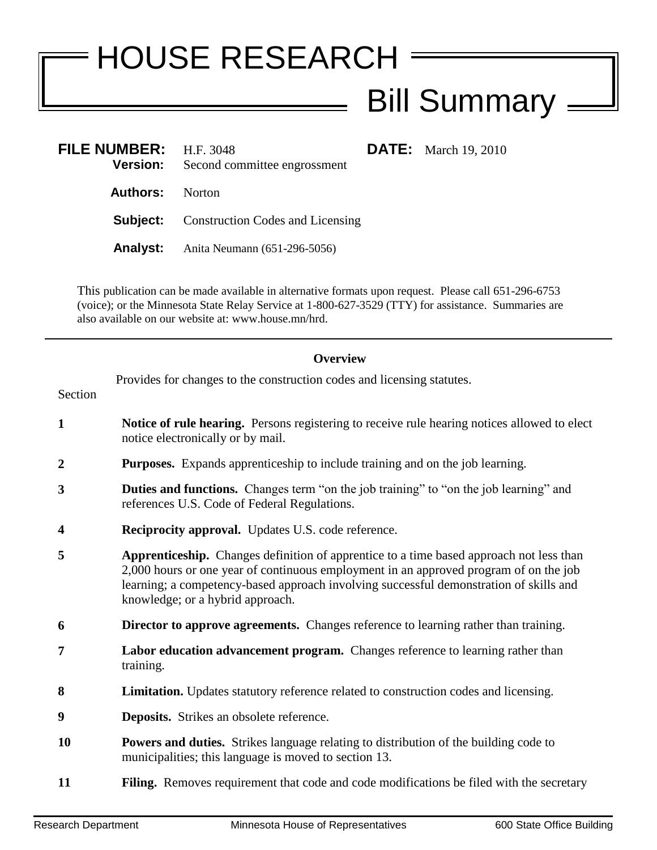## HOUSE RESEARCH Bill Summary =

| <b>FILE NUMBER:</b> H.F. 3048<br><b>Version:</b> | Second committee engrossment                     | <b>DATE:</b> March 19, 2010 |
|--------------------------------------------------|--------------------------------------------------|-----------------------------|
| <b>Authors:</b> Norton                           |                                                  |                             |
|                                                  | <b>Subject:</b> Construction Codes and Licensing |                             |
|                                                  | <b>Analyst:</b> Anita Neumann (651-296-5056)     |                             |

This publication can be made available in alternative formats upon request. Please call 651-296-6753 (voice); or the Minnesota State Relay Service at 1-800-627-3529 (TTY) for assistance. Summaries are also available on our website at: www.house.mn/hrd.

## **Overview**

| Section          | Provides for changes to the construction codes and licensing statutes.                                                                                                                                                                                                                                         |
|------------------|----------------------------------------------------------------------------------------------------------------------------------------------------------------------------------------------------------------------------------------------------------------------------------------------------------------|
| $\mathbf{1}$     | Notice of rule hearing. Persons registering to receive rule hearing notices allowed to elect<br>notice electronically or by mail.                                                                                                                                                                              |
| $\boldsymbol{2}$ | <b>Purposes.</b> Expands apprenticeship to include training and on the job learning.                                                                                                                                                                                                                           |
| 3                | <b>Duties and functions.</b> Changes term "on the job training" to "on the job learning" and<br>references U.S. Code of Federal Regulations.                                                                                                                                                                   |
| 4                | Reciprocity approval. Updates U.S. code reference.                                                                                                                                                                                                                                                             |
| 5                | Apprenticeship. Changes definition of apprentice to a time based approach not less than<br>2,000 hours or one year of continuous employment in an approved program of on the job<br>learning; a competency-based approach involving successful demonstration of skills and<br>knowledge; or a hybrid approach. |
| 6                | <b>Director to approve agreements.</b> Changes reference to learning rather than training.                                                                                                                                                                                                                     |
| 7                | Labor education advancement program. Changes reference to learning rather than<br>training.                                                                                                                                                                                                                    |
| 8                | Limitation. Updates statutory reference related to construction codes and licensing.                                                                                                                                                                                                                           |
| 9                | <b>Deposits.</b> Strikes an obsolete reference.                                                                                                                                                                                                                                                                |
| 10               | <b>Powers and duties.</b> Strikes language relating to distribution of the building code to<br>municipalities; this language is moved to section 13.                                                                                                                                                           |
| 11               | Filing. Removes requirement that code and code modifications be filed with the secretary                                                                                                                                                                                                                       |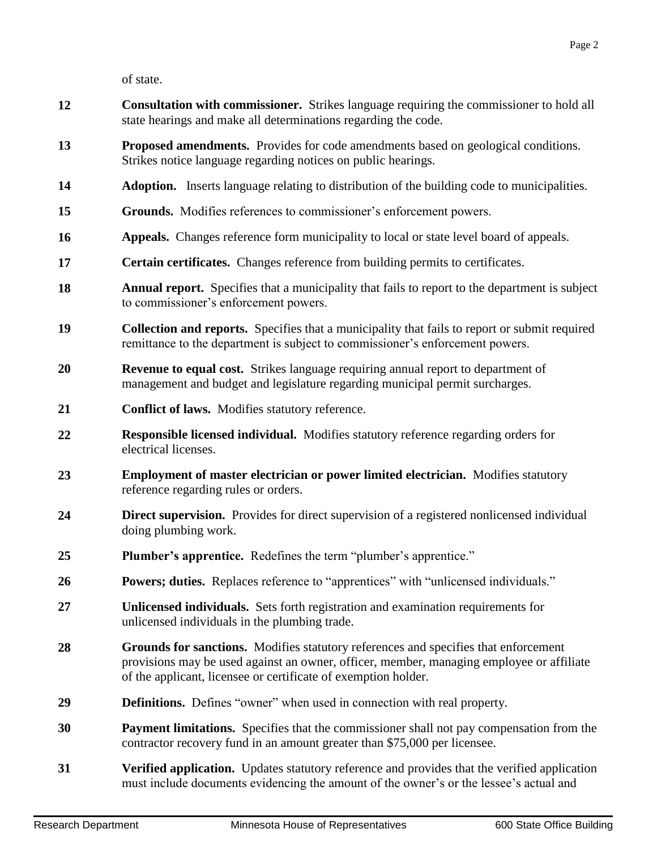of state.

- **12 Consultation with commissioner.** Strikes language requiring the commissioner to hold all state hearings and make all determinations regarding the code.
- **13 Proposed amendments.** Provides for code amendments based on geological conditions. Strikes notice language regarding notices on public hearings.
- **14 Adoption.** Inserts language relating to distribution of the building code to municipalities.
- **15 Grounds.** Modifies references to commissioner's enforcement powers.
- **16 Appeals.** Changes reference form municipality to local or state level board of appeals.
- **17 Certain certificates.** Changes reference from building permits to certificates.
- **18 Annual report.** Specifies that a municipality that fails to report to the department is subject to commissioner's enforcement powers.
- **19 Collection and reports.** Specifies that a municipality that fails to report or submit required remittance to the department is subject to commissioner's enforcement powers.
- **20 Revenue to equal cost.** Strikes language requiring annual report to department of management and budget and legislature regarding municipal permit surcharges.
- **21 Conflict of laws.** Modifies statutory reference.
- **22 Responsible licensed individual.** Modifies statutory reference regarding orders for electrical licenses.
- **23 Employment of master electrician or power limited electrician.** Modifies statutory reference regarding rules or orders.
- **24 Direct supervision.** Provides for direct supervision of a registered nonlicensed individual doing plumbing work.
- **25 Plumber's apprentice.** Redefines the term "plumber's apprentice."
- **26 Powers; duties.** Replaces reference to "apprentices" with "unlicensed individuals."
- **27 Unlicensed individuals.** Sets forth registration and examination requirements for unlicensed individuals in the plumbing trade.
- **28 Grounds for sanctions.** Modifies statutory references and specifies that enforcement provisions may be used against an owner, officer, member, managing employee or affiliate of the applicant, licensee or certificate of exemption holder.
- **29 Definitions.** Defines "owner" when used in connection with real property.
- **30 Payment limitations.** Specifies that the commissioner shall not pay compensation from the contractor recovery fund in an amount greater than \$75,000 per licensee.
- **31 Verified application.** Updates statutory reference and provides that the verified application must include documents evidencing the amount of the owner's or the lessee's actual and